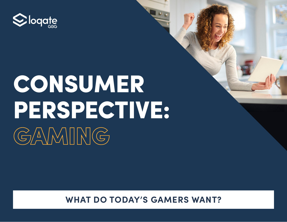

# CONSUMER PERSPECTIVE: GAMING

**WHAT DO TODAY'S GAMERS WANT?**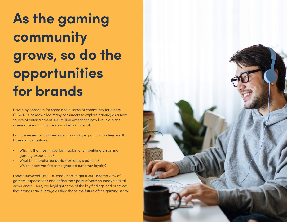**As the gaming community grows, so do the opportunities for brands** 

Driven by boredom for some and a sense of community for others, COVID-19 lockdown led many consumers to explore gaming as a new source of entertainment. [100 million Americans](https://www.bloomberg.com/news/features/2022-02-09/with-super-bowl-lvi-embracing-online-betting-football-will-never-be-the-same) now live in a place where online gaming like sports betting is legal.

But businesses trying to engage this quickly expanding audience still have many questions:

- What is the most important factor when building an online gaming experience?
- What is the preferred device for today's gamers?
- Which incentives foster the greatest customer loyalty?

Loqate surveyed 1,500 US consumers to get a 360-degree view of gamers' expectations and define their point of view on today's digital experiences. Here, we highlight some of the key findings and practices that brands can leverage as they shape the future of the gaming sector.

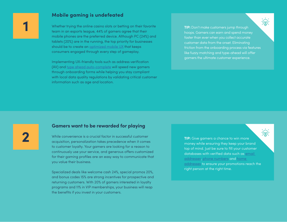### **Mobile gaming is undefeated**

Whether trying the online casino slots or betting on their favorite team in an esports league, 44% of gamers agree that their mobile phones are the preferred device. Although PC (24%) and tablets (20%) are in the running, the top priority for businesses should be to create an **optimized** mobile UX that keeps consumers engaged through every step of gameplay.

Implementing UX-friendly tools such as address verification (AV) and [type ahead auto-complete](https://www.loqate.com/en-us/address-verification/address-capture/) will speed new gamers through onboarding forms while helping you stay compliant with local data quality regulations by validating critical customer information such as age and location.

**TIP:** Don't make customers jump through hoops. Gamers can earn and spend money faster than ever when you collect accurate customer data from the onset. Eliminating friction from the onboarding process via features like fuzzy matching and type-ahead will offer gamers the ultimate customer experience.

## **2**

**1**

### **Gamers want to be rewarded for playing**

While convenience is a crucial factor in successful customer acquisition, personalization takes precedence when it comes to customer loyalty. Your gamers are looking for a reason to continuously use your service, and generous offers customized for their gaming profiles are an easy way to communicate that you value their business.

Specialized deals like welcome cash 24%, special promos 20%, and bonus codes 15% are strong incentives for prospective and returning customers. With 20% of gamers interested in loyalty programs and 11% in VIP memberships, your business will reap the benefits if you invest in your customers.

**TIP:** Give gamers a chance to win more money while ensuring they keep your brand top of mind. Just be sure to fill your customer databases with verified data such as [email](https://www.loqate.com/en-us/email-verification/ )  [addresses](https://www.loqate.com/en-us/email-verification/ ), [phone numbers](https://www.loqate.com/en-us/phone-verification/
) and [home](https://www.loqate.com/en-us/address-verification/address-cleanse/
)  [addresses](https://www.loqate.com/en-us/address-verification/address-cleanse/
) to ensure your promotions reach the right person at the right time.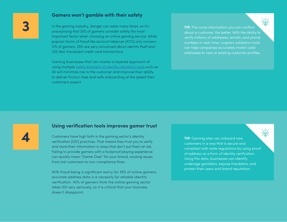### **Gamers won't gamble with their safety**

In the gaming industry, danger can wear many faces, so it's unsurprising that 35% of gamers consider safety the most important factor when choosing an online gaming service. While popular forms of fraud like account takeover (ATO) only concern 12% of gamers, 29% are very concerned about identity theft and 23% fear fraudulent credit card transactions.

Gaming businesses that can master a layered approach of using multiple [safety blankets of identity validation tools](https://www.loqate.com/resources/blog/balancing-growth-with-fraud-prevention-compliance-in-online-gaming/) such as AV will minimize risk to the customer and improve their ability to deliver friction-free and safe onboarding at the speed their customers expect.

**TIP:** The more information you can confirm about a customer, the better. With the ability to verify millions of addresses, emails, and phone numbers in real-time, Loqate's validation tools can help companies accurately match valid addresses to new or existing customer profiles.

**3**

### **Using verification tools improves gamer trust**

Customers have high faith in the gaming sector's identity verification (IDV) practices. That means they trust you to verify and store their information in ways that don't put them at risk. Failing to provide gamers with a foolproof playing experience can quickly mean "Game Over" for your brand, causing issues from lost customers to non-compliance fines.

With fraud being a significant worry for 38% of online gamers, accurate address data is a necessity for reliable identity verification. 40% of gamers think the online gaming sector takes IDV very seriously, so it is critical that your business doesn't disappoint.

**TIP:** Gaming sites can onboard new customers in a way that is secure and compliant with state regulations by using proof of address as a form of identity verification. Using this data, businesses can identify underage gamblers, expose fraudsters, and protect their users and brand reputation.